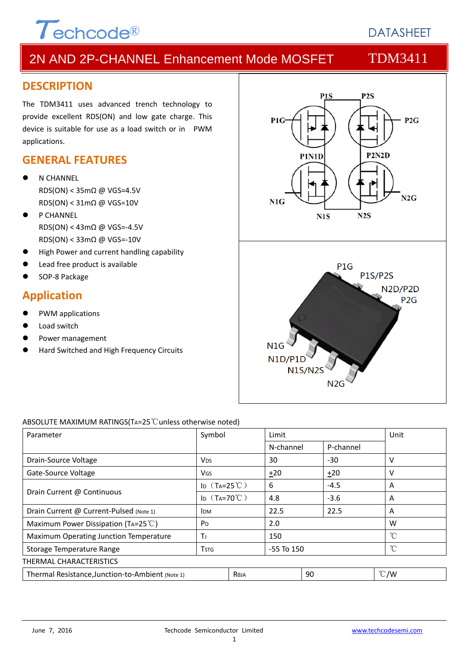

# **DATASHEFT**

# 2N AND 2P-CHANNEL Enhancement Mode MOSFET TDM3411

### **DESCRIPTION**

The TDM3411 uses advanced trench technology to provide excellent RDS(ON) and low gate charge. This device is suitable for use as a load switch or in PWM applications.

### **GENERAL FEATURES**

- N CHANNEL RDS(ON) < 35mΩ @ VGS=4.5V RDS(ON) < 31mΩ @ VGS=10V
- P CHANNEL RDS(ON) < 43mΩ @ VGS=‐4.5V RDS(ON) < 33mΩ @ VGS=‐10V
- High Power and current handling capability
- Lead free product is available
- SOP‐8 Package

### **Application**

- PWM applications
- Load switch
- Power management
- Hard Switched and High Frequency Circuits



#### ABSOLUTE MAXIMUM RATINGS(TA=25℃unless otherwise noted)

| Parameter                                        | Symbol                        |             | Limit      |           | Unit          |
|--------------------------------------------------|-------------------------------|-------------|------------|-----------|---------------|
|                                                  |                               |             | N-channel  | P-channel |               |
| Drain-Source Voltage                             | Vds.                          |             | 30         | $-30$     | v             |
| Gate-Source Voltage                              | VGS                           |             | ±20        | ±20       | v             |
|                                                  | ID $(T_A=25^{\circ}\text{C})$ |             | 6          | $-4.5$    | A             |
| Drain Current @ Continuous                       | ID $(T_A=70^{\circ}C)$        |             | 4.8        | $-3.6$    | A             |
| Drain Current @ Current-Pulsed (Note 1)          | <b>IDM</b>                    |             | 22.5       | 22.5      | A             |
| Maximum Power Dissipation (TA=25 $^{\circ}$ C)   | P <sub>D</sub>                |             | 2.0        |           | W             |
| Maximum Operating Junction Temperature           | T                             |             | 150        |           | °C            |
| Storage Temperature Range                        | Tstg                          |             | -55 To 150 |           | °C            |
| THERMAL CHARACTERISTICS                          |                               |             |            |           |               |
| Thermal Resistance, Junction-to-Ambient (Note 1) |                               | <b>Reja</b> |            | 90        | $\degree$ C/W |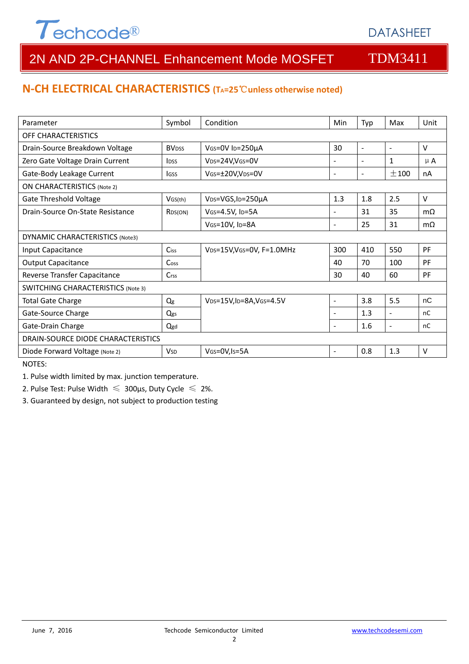# $\tau$ echcode®

# DATASHEET

# 2N AND 2P-CHANNEL Enhancement Mode MOSFET TDM3411

### **N‐CH ELECTRICAL CHARACTERISTICS (TA=25**℃**unless otherwise noted)**

| Parameter                                 | Symbol               | Condition                                   | Min                      | Typ                      | Max            | Unit      |  |  |
|-------------------------------------------|----------------------|---------------------------------------------|--------------------------|--------------------------|----------------|-----------|--|--|
| OFF CHARACTERISTICS                       |                      |                                             |                          |                          |                |           |  |  |
| Drain-Source Breakdown Voltage            | <b>BVDSS</b>         | VGS=0V ID=250µA                             | 30                       | $\blacksquare$           | $\blacksquare$ | $\vee$    |  |  |
| Zero Gate Voltage Drain Current           | <b>IDSS</b>          | VDS=24V, VGS=0V                             | $\blacksquare$           | $\overline{\phantom{a}}$ | 1              | $\mu$ A   |  |  |
| Gate-Body Leakage Current                 | lgss                 | VGS=±20V,VDS=0V                             | $\blacksquare$           | $\overline{\phantom{a}}$ | $+100$         | nA        |  |  |
| <b>ON CHARACTERISTICS (Note 2)</b>        |                      |                                             |                          |                          |                |           |  |  |
| Gate Threshold Voltage                    | VGS(th)              | V <sub>DS</sub> =VGS, I <sub>D</sub> =250µA | 1.3                      | 1.8                      | 2.5            | $\vee$    |  |  |
| Drain-Source On-State Resistance          | R <sub>DS</sub> (ON) | VGS=4.5V, ID=5A                             | $\overline{\phantom{a}}$ | 31                       | 35             | $m\Omega$ |  |  |
|                                           |                      | VGS=10V, ID=8A                              | $\overline{\phantom{a}}$ | 25                       | 31             | $m\Omega$ |  |  |
| DYNAMIC CHARACTERISTICS (Note3)           |                      |                                             |                          |                          |                |           |  |  |
| Input Capacitance                         | Ciss                 | VDS=15V, VGS=0V, F=1.0MHz                   | 300                      | 410                      | 550            | PF        |  |  |
| <b>Output Capacitance</b>                 | Coss                 |                                             | 40                       | 70                       | 100            | PF        |  |  |
| Reverse Transfer Capacitance              | C <sub>rss</sub>     |                                             | 30                       | 40                       | 60             | PF        |  |  |
| <b>SWITCHING CHARACTERISTICS (Note 3)</b> |                      |                                             |                          |                          |                |           |  |  |
| <b>Total Gate Charge</b>                  | Qg                   | VDS=15V, ID=8A, VGS=4.5V                    | $\blacksquare$           | 3.8                      | 5.5            | nC        |  |  |
| Gate-Source Charge                        | Qgs                  |                                             |                          | 1.3                      | $\blacksquare$ | nC        |  |  |
| Gate-Drain Charge                         | Qgd                  |                                             |                          | 1.6                      | $\blacksquare$ | nC        |  |  |
| DRAIN-SOURCE DIODE CHARACTERISTICS        |                      |                                             |                          |                          |                |           |  |  |
| Diode Forward Voltage (Note 2)            | <b>V</b> sn          | VGS=0V, Is=5A                               | $\blacksquare$           | 0.8                      | 1.3            | $\vee$    |  |  |

NOTES:

1. Pulse width limited by max. junction temperature.

2. Pulse Test: Pulse Width  $\leq 300$ μs, Duty Cycle  $\leq 2\%$ .

3. Guaranteed by design, not subject to production testing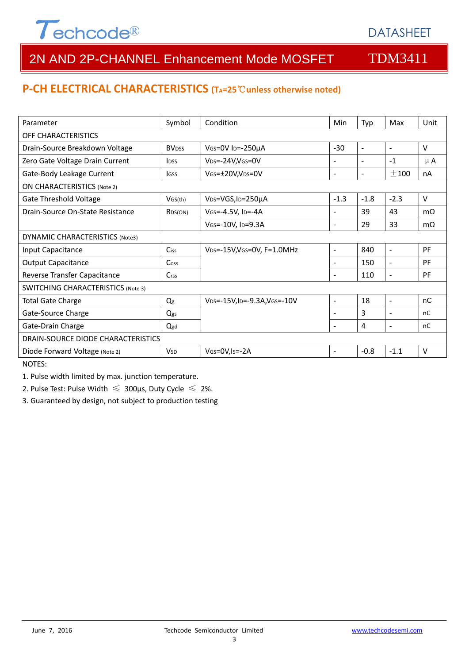# $\tau$ echcode®

# DATASHEET

# 2N AND 2P-CHANNEL Enhancement Mode MOSFET TDM3411

### **P‐CH ELECTRICAL CHARACTERISTICS (TA=25**℃**unless otherwise noted)**

| Parameter                                 | Symbol               | Condition                                   | Min                      | Typ                      | Max                      | Unit      |  |  |
|-------------------------------------------|----------------------|---------------------------------------------|--------------------------|--------------------------|--------------------------|-----------|--|--|
| OFF CHARACTERISTICS                       |                      |                                             |                          |                          |                          |           |  |  |
| Drain-Source Breakdown Voltage            | <b>BVDSS</b>         | VGS=0V ID=-250µA                            | $-30$                    | $\sim$                   | $\blacksquare$           | $\vee$    |  |  |
| Zero Gate Voltage Drain Current           | <b>IDSS</b>          | V <sub>DS</sub> =-24V,VGS=0V                | $\blacksquare$           | $\sim$                   | $-1$                     | $\mu$ A   |  |  |
| Gate-Body Leakage Current                 | lgss                 | VGS=±20V,VDS=0V                             | $\blacksquare$           | $\overline{\phantom{a}}$ | $+100$                   | nA        |  |  |
| <b>ON CHARACTERISTICS (Note 2)</b>        |                      |                                             |                          |                          |                          |           |  |  |
| Gate Threshold Voltage                    | VGS(th)              | V <sub>DS</sub> =VGS, I <sub>D</sub> =250µA | $-1.3$                   | $-1.8$                   | $-2.3$                   | $\vee$    |  |  |
| Drain-Source On-State Resistance          | R <sub>DS</sub> (ON) | VGS=-4.5V, ID=-4A                           | $\overline{\phantom{a}}$ | 39                       | 43                       | $m\Omega$ |  |  |
|                                           |                      | VGS=-10V, ID=9.3A                           | $\overline{\phantom{a}}$ | 29                       | 33                       | $m\Omega$ |  |  |
| DYNAMIC CHARACTERISTICS (Note3)           |                      |                                             |                          |                          |                          |           |  |  |
| Input Capacitance                         | Ciss                 | VDS=-15V, VGS=0V, F=1.0MHz                  | $\blacksquare$           | 840                      | $\blacksquare$           | PF        |  |  |
| <b>Output Capacitance</b>                 | Coss                 |                                             | $\blacksquare$           | 150                      | $\blacksquare$           | PF        |  |  |
| Reverse Transfer Capacitance              | C <sub>rss</sub>     |                                             |                          | 110                      | $\overline{\phantom{a}}$ | PF        |  |  |
| <b>SWITCHING CHARACTERISTICS (Note 3)</b> |                      |                                             |                          |                          |                          |           |  |  |
| <b>Total Gate Charge</b>                  | Qg                   | VDS=-15V, ID=-9.3A, VGS=-10V                | $\blacksquare$           | 18                       | $\sim$                   | nC        |  |  |
| Gate-Source Charge                        | Qgs                  |                                             |                          | 3                        | $\blacksquare$           | nC        |  |  |
| Gate-Drain Charge                         | Qgd                  |                                             |                          | 4                        | $\blacksquare$           | nC        |  |  |
| DRAIN-SOURCE DIODE CHARACTERISTICS        |                      |                                             |                          |                          |                          |           |  |  |
| Diode Forward Voltage (Note 2)            | <b>V</b> sn          | VGS=0V, Is = - 2A                           | $\overline{\phantom{a}}$ | $-0.8$                   | $-1.1$                   | $\vee$    |  |  |

NOTES:

1. Pulse width limited by max. junction temperature.

2. Pulse Test: Pulse Width  $\leq 300$ μs, Duty Cycle  $\leq 2\%$ .

3. Guaranteed by design, not subject to production testing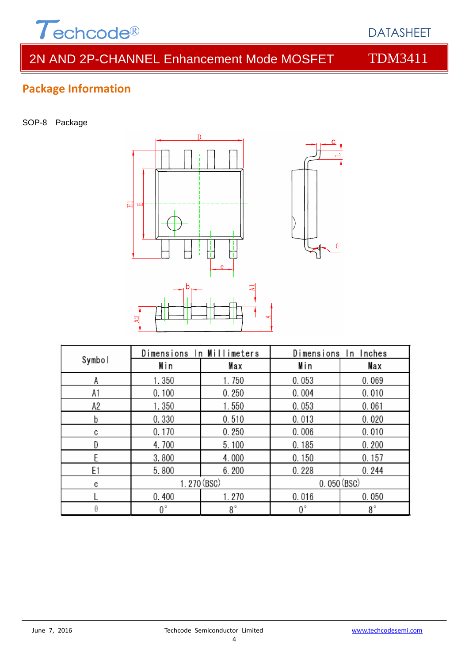

# 2N AND 2P-CHANNEL Enhancement Mode MOSFET TDM3411

# **Package Information**

SOP-8 Package



|        | Dimensions In Millimeters |             | Dimensions In Inches |             |  |
|--------|---------------------------|-------------|----------------------|-------------|--|
| Symbol | Min                       | Max         | Min                  | Max         |  |
| А      | 1.350                     | 1.750       | 0.053                | 0.069       |  |
| A1     | 0.100                     | 0.250       | 0.004                | 0.010       |  |
| А2     | 1.350                     | 1.550       | 0.053                | 0.061       |  |
| b      | 0.330                     | 0.510       | 0.013                | 0.020       |  |
| C      | 0.170                     | 0.250       | 0.006                | 0.010       |  |
| D      | 4.700                     | 5.100       | 0.185                | 0.200       |  |
|        | 3.800                     | 4.000       | 0.150                | 0.157       |  |
| E1     | 5.800                     | 6.200       | 0.228                | 0.244       |  |
| e      |                           | 1.270 (BSC) | 0.050(BSC)           |             |  |
|        | 0.400                     | 1.270       | 0.016                | 0.050       |  |
| θ      | 0°                        | $8^{\circ}$ | $0^{\circ}$          | $8^{\circ}$ |  |